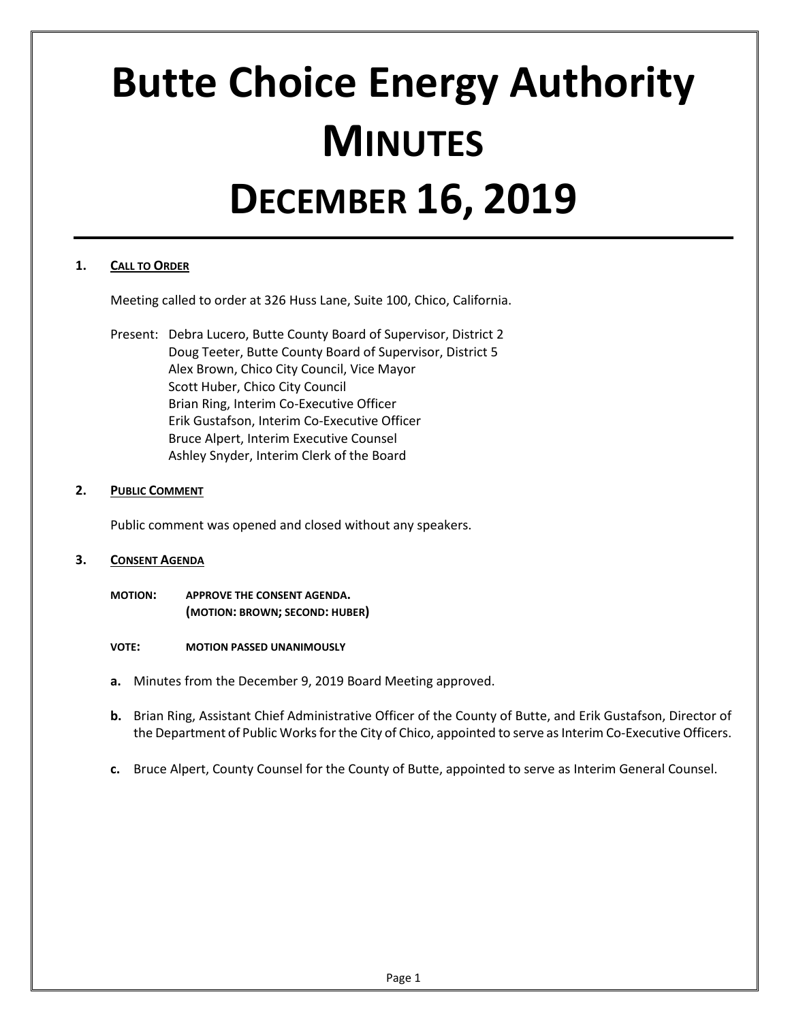# **Butte Choice Energy Authority MINUTES DECEMBER 16, 2019**

## **1. CALL TO ORDER**

Meeting called to order at 326 Huss Lane, Suite 100, Chico, California.

Present: Debra Lucero, Butte County Board of Supervisor, District 2 Doug Teeter, Butte County Board of Supervisor, District 5 Alex Brown, Chico City Council, Vice Mayor Scott Huber, Chico City Council Brian Ring, Interim Co-Executive Officer Erik Gustafson, Interim Co-Executive Officer Bruce Alpert, Interim Executive Counsel Ashley Snyder, Interim Clerk of the Board

## **2. PUBLIC COMMENT**

Public comment was opened and closed without any speakers.

#### **3. CONSENT AGENDA**

**MOTION: APPROVE THE CONSENT AGENDA. (MOTION: BROWN; SECOND: HUBER)**

**VOTE: MOTION PASSED UNANIMOUSLY**

- **a.** Minutes from the December 9, 2019 Board Meeting approved.
- **b.** Brian Ring, Assistant Chief Administrative Officer of the County of Butte, and Erik Gustafson, Director of the Department of Public Works for the City of Chico, appointed to serve as Interim Co-Executive Officers.
- **c.** Bruce Alpert, County Counsel for the County of Butte, appointed to serve as Interim General Counsel.